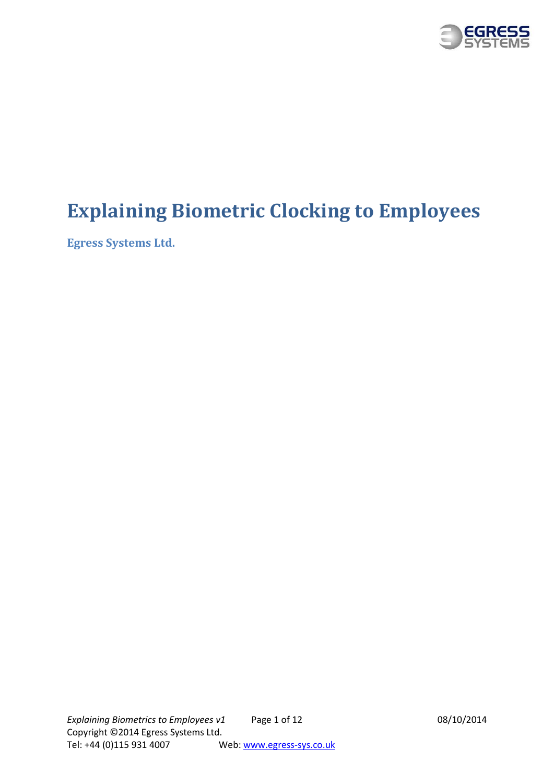

# **Explaining Biometric Clocking to Employees**

**Egress Systems Ltd.**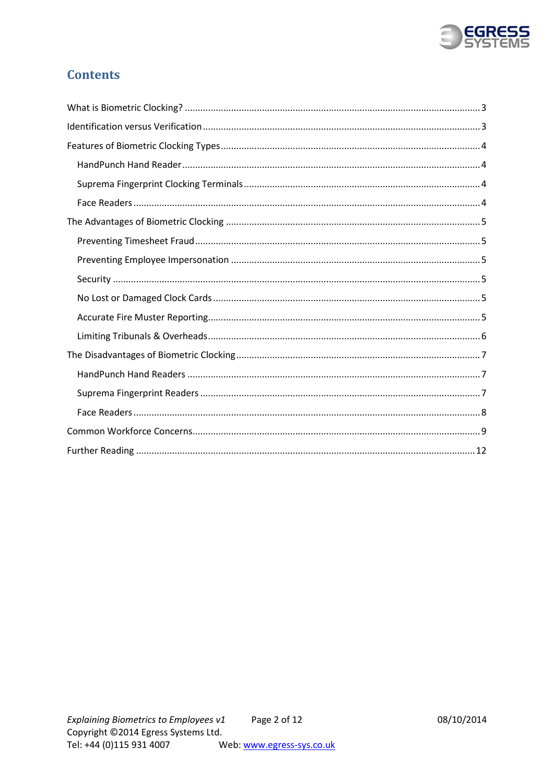

# **Contents**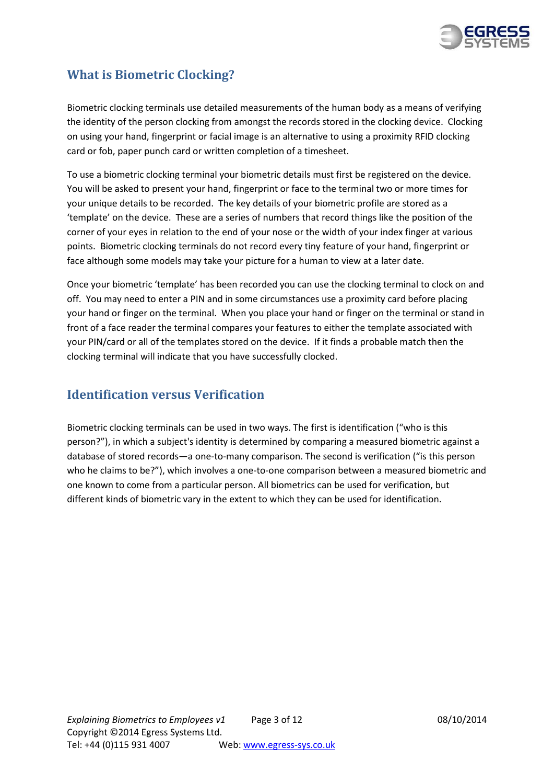

# <span id="page-2-0"></span>**What is Biometric Clocking?**

Biometric clocking terminals use detailed measurements of the human body as a means of verifying the identity of the person clocking from amongst the records stored in the clocking device. Clocking on using your hand, fingerprint or facial image is an alternative to using a proximity RFID clocking card or fob, paper punch card or written completion of a timesheet.

To use a biometric clocking terminal your biometric details must first be registered on the device. You will be asked to present your hand, fingerprint or face to the terminal two or more times for your unique details to be recorded. The key details of your biometric profile are stored as a 'template' on the device. These are a series of numbers that record things like the position of the corner of your eyes in relation to the end of your nose or the width of your index finger at various points. Biometric clocking terminals do not record every tiny feature of your hand, fingerprint or face although some models may take your picture for a human to view at a later date.

Once your biometric 'template' has been recorded you can use the clocking terminal to clock on and off. You may need to enter a PIN and in some circumstances use a proximity card before placing your hand or finger on the terminal. When you place your hand or finger on the terminal or stand in front of a face reader the terminal compares your features to either the template associated with your PIN/card or all of the templates stored on the device. If it finds a probable match then the clocking terminal will indicate that you have successfully clocked.

# <span id="page-2-1"></span>**Identification versus Verification**

<span id="page-2-2"></span>Biometric clocking terminals can be used in two ways. The first is identification ("who is this person?"), in which a subject's identity is determined by comparing a measured biometric against a database of stored records—a one-to-many comparison. The second is verification ("is this person who he claims to be?"), which involves a one-to-one comparison between a measured biometric and one known to come from a particular person. All biometrics can be used for verification, but different kinds of biometric vary in the extent to which they can be used for identification.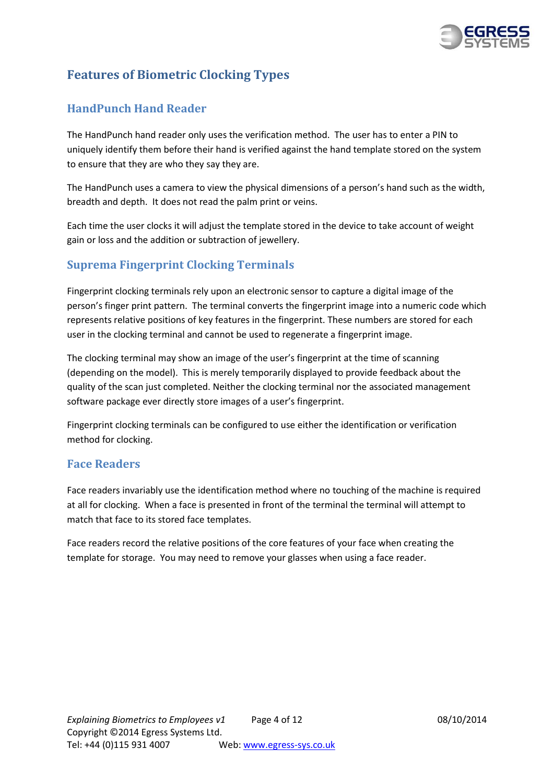

# **Features of Biometric Clocking Types**

# <span id="page-3-0"></span>**HandPunch Hand Reader**

The HandPunch hand reader only uses the verification method. The user has to enter a PIN to uniquely identify them before their hand is verified against the hand template stored on the system to ensure that they are who they say they are.

The HandPunch uses a camera to view the physical dimensions of a person's hand such as the width, breadth and depth. It does not read the palm print or veins.

Each time the user clocks it will adjust the template stored in the device to take account of weight gain or loss and the addition or subtraction of jewellery.

# <span id="page-3-1"></span>**Suprema Fingerprint Clocking Terminals**

Fingerprint clocking terminals rely upon an electronic sensor to capture a digital image of the person's finger print pattern. The terminal converts the fingerprint image into a numeric code which represents relative positions of key features in the fingerprint. These numbers are stored for each user in the clocking terminal and cannot be used to regenerate a fingerprint image.

The clocking terminal may show an image of the user's fingerprint at the time of scanning (depending on the model). This is merely temporarily displayed to provide feedback about the quality of the scan just completed. Neither the clocking terminal nor the associated management software package ever directly store images of a user's fingerprint.

Fingerprint clocking terminals can be configured to use either the identification or verification method for clocking.

## <span id="page-3-2"></span>**Face Readers**

Face readers invariably use the identification method where no touching of the machine is required at all for clocking. When a face is presented in front of the terminal the terminal will attempt to match that face to its stored face templates.

<span id="page-3-3"></span>Face readers record the relative positions of the core features of your face when creating the template for storage. You may need to remove your glasses when using a face reader.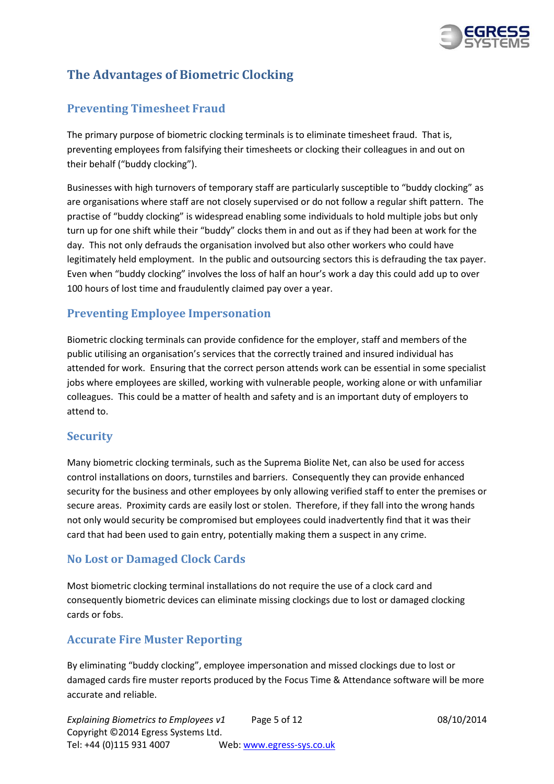

# **The Advantages of Biometric Clocking**

# <span id="page-4-0"></span>**Preventing Timesheet Fraud**

The primary purpose of biometric clocking terminals is to eliminate timesheet fraud. That is, preventing employees from falsifying their timesheets or clocking their colleagues in and out on their behalf ("buddy clocking").

Businesses with high turnovers of temporary staff are particularly susceptible to "buddy clocking" as are organisations where staff are not closely supervised or do not follow a regular shift pattern. The practise of "buddy clocking" is widespread enabling some individuals to hold multiple jobs but only turn up for one shift while their "buddy" clocks them in and out as if they had been at work for the day. This not only defrauds the organisation involved but also other workers who could have legitimately held employment. In the public and outsourcing sectors this is defrauding the tax payer. Even when "buddy clocking" involves the loss of half an hour's work a day this could add up to over 100 hours of lost time and fraudulently claimed pay over a year.

## <span id="page-4-1"></span>**Preventing Employee Impersonation**

Biometric clocking terminals can provide confidence for the employer, staff and members of the public utilising an organisation's services that the correctly trained and insured individual has attended for work. Ensuring that the correct person attends work can be essential in some specialist jobs where employees are skilled, working with vulnerable people, working alone or with unfamiliar colleagues. This could be a matter of health and safety and is an important duty of employers to attend to.

## <span id="page-4-2"></span>**Security**

Many biometric clocking terminals, such as the Suprema Biolite Net, can also be used for access control installations on doors, turnstiles and barriers. Consequently they can provide enhanced security for the business and other employees by only allowing verified staff to enter the premises or secure areas. Proximity cards are easily lost or stolen. Therefore, if they fall into the wrong hands not only would security be compromised but employees could inadvertently find that it was their card that had been used to gain entry, potentially making them a suspect in any crime.

## <span id="page-4-3"></span>**No Lost or Damaged Clock Cards**

Most biometric clocking terminal installations do not require the use of a clock card and consequently biometric devices can eliminate missing clockings due to lost or damaged clocking cards or fobs.

## <span id="page-4-4"></span>**Accurate Fire Muster Reporting**

By eliminating "buddy clocking", employee impersonation and missed clockings due to lost or damaged cards fire muster reports produced by the Focus Time & Attendance software will be more accurate and reliable.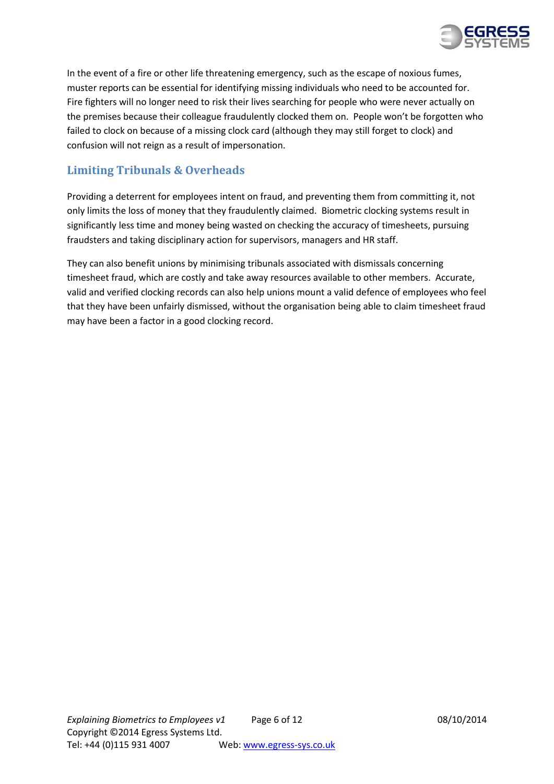

In the event of a fire or other life threatening emergency, such as the escape of noxious fumes, muster reports can be essential for identifying missing individuals who need to be accounted for. Fire fighters will no longer need to risk their lives searching for people who were never actually on the premises because their colleague fraudulently clocked them on. People won't be forgotten who failed to clock on because of a missing clock card (although they may still forget to clock) and confusion will not reign as a result of impersonation.

# <span id="page-5-0"></span>**Limiting Tribunals & Overheads**

Providing a deterrent for employees intent on fraud, and preventing them from committing it, not only limits the loss of money that they fraudulently claimed. Biometric clocking systems result in significantly less time and money being wasted on checking the accuracy of timesheets, pursuing fraudsters and taking disciplinary action for supervisors, managers and HR staff.

<span id="page-5-1"></span>They can also benefit unions by minimising tribunals associated with dismissals concerning timesheet fraud, which are costly and take away resources available to other members. Accurate, valid and verified clocking records can also help unions mount a valid defence of employees who feel that they have been unfairly dismissed, without the organisation being able to claim timesheet fraud may have been a factor in a good clocking record.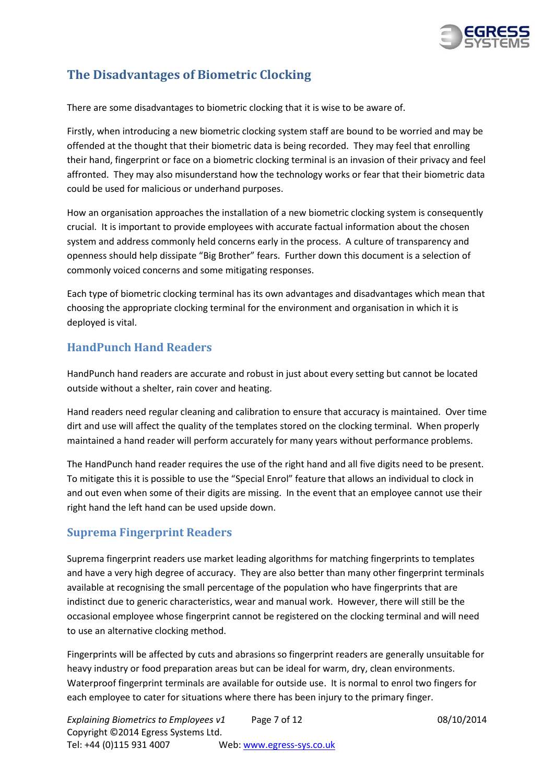

# **The Disadvantages of Biometric Clocking**

There are some disadvantages to biometric clocking that it is wise to be aware of.

Firstly, when introducing a new biometric clocking system staff are bound to be worried and may be offended at the thought that their biometric data is being recorded. They may feel that enrolling their hand, fingerprint or face on a biometric clocking terminal is an invasion of their privacy and feel affronted. They may also misunderstand how the technology works or fear that their biometric data could be used for malicious or underhand purposes.

How an organisation approaches the installation of a new biometric clocking system is consequently crucial. It is important to provide employees with accurate factual information about the chosen system and address commonly held concerns early in the process. A culture of transparency and openness should help dissipate "Big Brother" fears. Further down this document is a selection of commonly voiced concerns and some mitigating responses.

Each type of biometric clocking terminal has its own advantages and disadvantages which mean that choosing the appropriate clocking terminal for the environment and organisation in which it is deployed is vital.

### <span id="page-6-0"></span>**HandPunch Hand Readers**

HandPunch hand readers are accurate and robust in just about every setting but cannot be located outside without a shelter, rain cover and heating.

Hand readers need regular cleaning and calibration to ensure that accuracy is maintained. Over time dirt and use will affect the quality of the templates stored on the clocking terminal. When properly maintained a hand reader will perform accurately for many years without performance problems.

The HandPunch hand reader requires the use of the right hand and all five digits need to be present. To mitigate this it is possible to use the "Special Enrol" feature that allows an individual to clock in and out even when some of their digits are missing. In the event that an employee cannot use their right hand the left hand can be used upside down.

## <span id="page-6-1"></span>**Suprema Fingerprint Readers**

Suprema fingerprint readers use market leading algorithms for matching fingerprints to templates and have a very high degree of accuracy. They are also better than many other fingerprint terminals available at recognising the small percentage of the population who have fingerprints that are indistinct due to generic characteristics, wear and manual work. However, there will still be the occasional employee whose fingerprint cannot be registered on the clocking terminal and will need to use an alternative clocking method.

Fingerprints will be affected by cuts and abrasions so fingerprint readers are generally unsuitable for heavy industry or food preparation areas but can be ideal for warm, dry, clean environments. Waterproof fingerprint terminals are available for outside use. It is normal to enrol two fingers for each employee to cater for situations where there has been injury to the primary finger.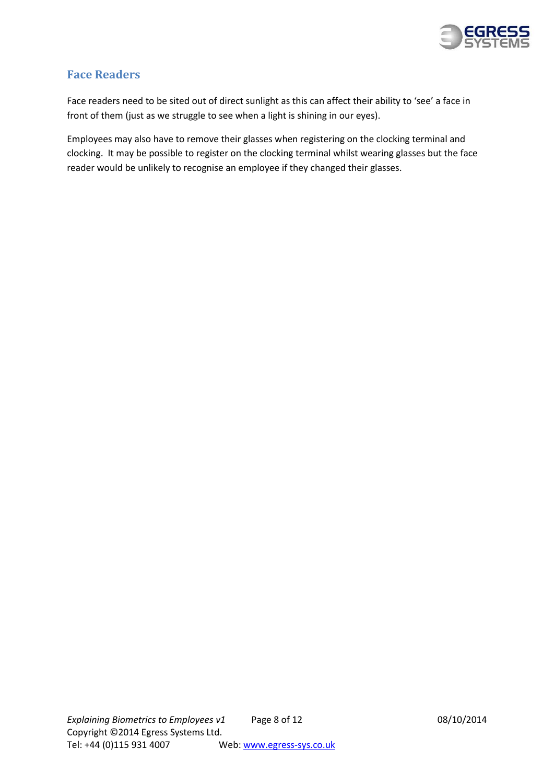

# <span id="page-7-0"></span>**Face Readers**

Face readers need to be sited out of direct sunlight as this can affect their ability to 'see' a face in front of them (just as we struggle to see when a light is shining in our eyes).

<span id="page-7-1"></span>Employees may also have to remove their glasses when registering on the clocking terminal and clocking. It may be possible to register on the clocking terminal whilst wearing glasses but the face reader would be unlikely to recognise an employee if they changed their glasses.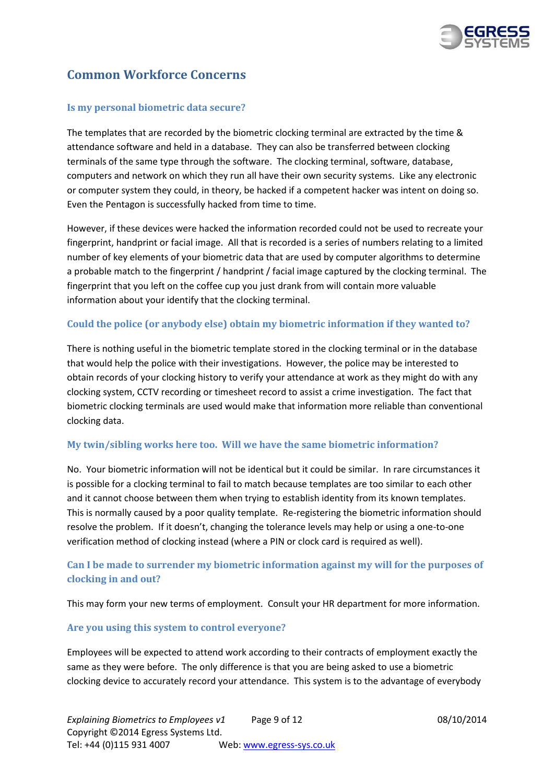

# **Common Workforce Concerns**

### **Is my personal biometric data secure?**

The templates that are recorded by the biometric clocking terminal are extracted by the time & attendance software and held in a database. They can also be transferred between clocking terminals of the same type through the software. The clocking terminal, software, database, computers and network on which they run all have their own security systems. Like any electronic or computer system they could, in theory, be hacked if a competent hacker was intent on doing so. Even the Pentagon is successfully hacked from time to time.

However, if these devices were hacked the information recorded could not be used to recreate your fingerprint, handprint or facial image. All that is recorded is a series of numbers relating to a limited number of key elements of your biometric data that are used by computer algorithms to determine a probable match to the fingerprint / handprint / facial image captured by the clocking terminal. The fingerprint that you left on the coffee cup you just drank from will contain more valuable information about your identify that the clocking terminal.

### **Could the police (or anybody else) obtain my biometric information if they wanted to?**

There is nothing useful in the biometric template stored in the clocking terminal or in the database that would help the police with their investigations. However, the police may be interested to obtain records of your clocking history to verify your attendance at work as they might do with any clocking system, CCTV recording or timesheet record to assist a crime investigation. The fact that biometric clocking terminals are used would make that information more reliable than conventional clocking data.

### **My twin/sibling works here too. Will we have the same biometric information?**

No. Your biometric information will not be identical but it could be similar. In rare circumstances it is possible for a clocking terminal to fail to match because templates are too similar to each other and it cannot choose between them when trying to establish identity from its known templates. This is normally caused by a poor quality template. Re-registering the biometric information should resolve the problem. If it doesn't, changing the tolerance levels may help or using a one-to-one verification method of clocking instead (where a PIN or clock card is required as well).

### **Can I be made to surrender my biometric information against my will for the purposes of clocking in and out?**

This may form your new terms of employment. Consult your HR department for more information.

#### **Are you using this system to control everyone?**

Employees will be expected to attend work according to their contracts of employment exactly the same as they were before. The only difference is that you are being asked to use a biometric clocking device to accurately record your attendance. This system is to the advantage of everybody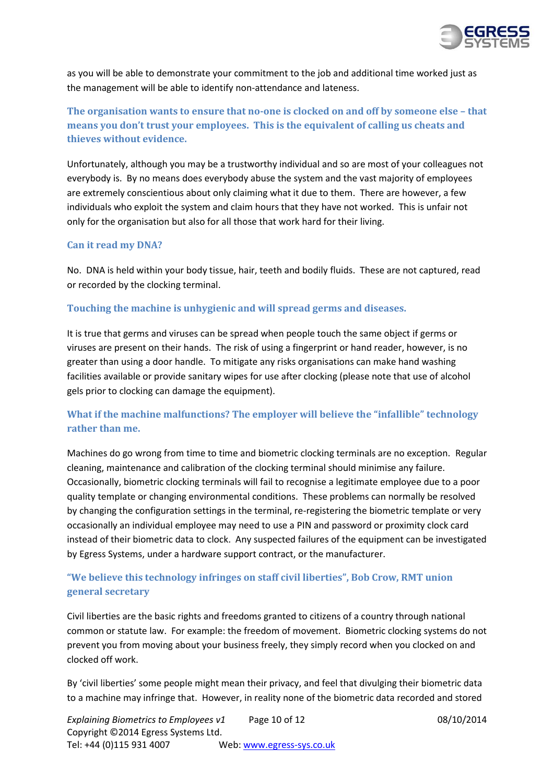

as you will be able to demonstrate your commitment to the job and additional time worked just as the management will be able to identify non-attendance and lateness.

### **The organisation wants to ensure that no-one is clocked on and off by someone else – that means you don't trust your employees. This is the equivalent of calling us cheats and thieves without evidence.**

Unfortunately, although you may be a trustworthy individual and so are most of your colleagues not everybody is. By no means does everybody abuse the system and the vast majority of employees are extremely conscientious about only claiming what it due to them. There are however, a few individuals who exploit the system and claim hours that they have not worked. This is unfair not only for the organisation but also for all those that work hard for their living.

#### **Can it read my DNA?**

No. DNA is held within your body tissue, hair, teeth and bodily fluids. These are not captured, read or recorded by the clocking terminal.

### **Touching the machine is unhygienic and will spread germs and diseases.**

It is true that germs and viruses can be spread when people touch the same object if germs or viruses are present on their hands. The risk of using a fingerprint or hand reader, however, is no greater than using a door handle. To mitigate any risks organisations can make hand washing facilities available or provide sanitary wipes for use after clocking (please note that use of alcohol gels prior to clocking can damage the equipment).

### **What if the machine malfunctions? The employer will believe the "infallible" technology rather than me.**

Machines do go wrong from time to time and biometric clocking terminals are no exception. Regular cleaning, maintenance and calibration of the clocking terminal should minimise any failure. Occasionally, biometric clocking terminals will fail to recognise a legitimate employee due to a poor quality template or changing environmental conditions. These problems can normally be resolved by changing the configuration settings in the terminal, re-registering the biometric template or very occasionally an individual employee may need to use a PIN and password or proximity clock card instead of their biometric data to clock. Any suspected failures of the equipment can be investigated by Egress Systems, under a hardware support contract, or the manufacturer.

### **"We believe this technology infringes on staff civil liberties", Bob Crow, RMT union general secretary**

Civil liberties are the basic rights and freedoms granted to citizens of a country through national common or statute law. For example: the freedom of movement. Biometric clocking systems do not prevent you from moving about your business freely, they simply record when you clocked on and clocked off work.

By 'civil liberties' some people might mean their privacy, and feel that divulging their biometric data to a machine may infringe that. However, in reality none of the biometric data recorded and stored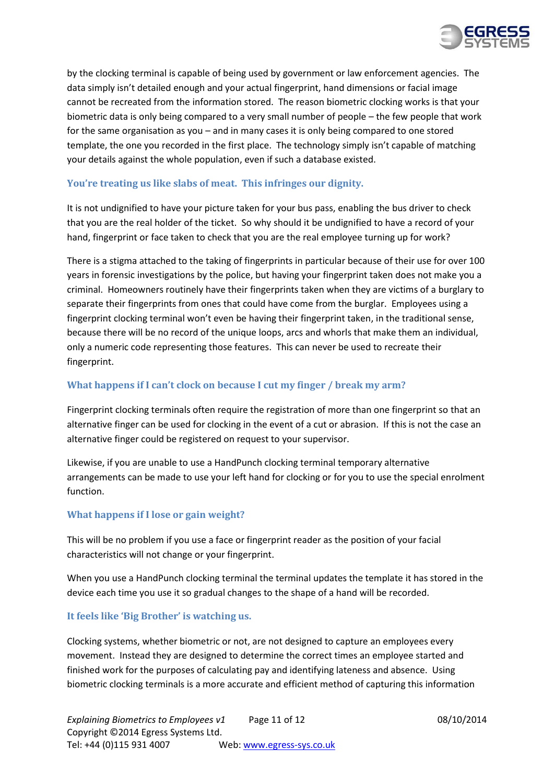

by the clocking terminal is capable of being used by government or law enforcement agencies. The data simply isn't detailed enough and your actual fingerprint, hand dimensions or facial image cannot be recreated from the information stored. The reason biometric clocking works is that your biometric data is only being compared to a very small number of people – the few people that work for the same organisation as you – and in many cases it is only being compared to one stored template, the one you recorded in the first place. The technology simply isn't capable of matching your details against the whole population, even if such a database existed.

### **You're treating us like slabs of meat. This infringes our dignity.**

It is not undignified to have your picture taken for your bus pass, enabling the bus driver to check that you are the real holder of the ticket. So why should it be undignified to have a record of your hand, fingerprint or face taken to check that you are the real employee turning up for work?

There is a stigma attached to the taking of fingerprints in particular because of their use for over 100 years in forensic investigations by the police, but having your fingerprint taken does not make you a criminal. Homeowners routinely have their fingerprints taken when they are victims of a burglary to separate their fingerprints from ones that could have come from the burglar. Employees using a fingerprint clocking terminal won't even be having their fingerprint taken, in the traditional sense, because there will be no record of the unique loops, arcs and whorls that make them an individual, only a numeric code representing those features. This can never be used to recreate their fingerprint.

#### **What happens if I can't clock on because I cut my finger / break my arm?**

Fingerprint clocking terminals often require the registration of more than one fingerprint so that an alternative finger can be used for clocking in the event of a cut or abrasion. If this is not the case an alternative finger could be registered on request to your supervisor.

Likewise, if you are unable to use a HandPunch clocking terminal temporary alternative arrangements can be made to use your left hand for clocking or for you to use the special enrolment function.

### **What happens if I lose or gain weight?**

This will be no problem if you use a face or fingerprint reader as the position of your facial characteristics will not change or your fingerprint.

When you use a HandPunch clocking terminal the terminal updates the template it has stored in the device each time you use it so gradual changes to the shape of a hand will be recorded.

#### **It feels like 'Big Brother' is watching us.**

Clocking systems, whether biometric or not, are not designed to capture an employees every movement. Instead they are designed to determine the correct times an employee started and finished work for the purposes of calculating pay and identifying lateness and absence. Using biometric clocking terminals is a more accurate and efficient method of capturing this information